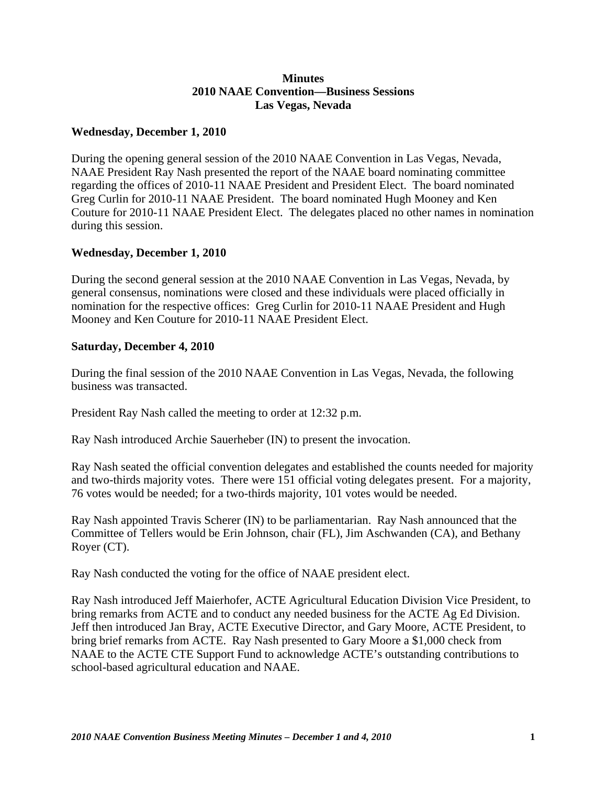## **Minutes 2010 NAAE Convention—Business Sessions Las Vegas, Nevada**

## **Wednesday, December 1, 2010**

During the opening general session of the 2010 NAAE Convention in Las Vegas, Nevada, NAAE President Ray Nash presented the report of the NAAE board nominating committee regarding the offices of 2010-11 NAAE President and President Elect. The board nominated Greg Curlin for 2010-11 NAAE President. The board nominated Hugh Mooney and Ken Couture for 2010-11 NAAE President Elect. The delegates placed no other names in nomination during this session.

## **Wednesday, December 1, 2010**

During the second general session at the 2010 NAAE Convention in Las Vegas, Nevada, by general consensus, nominations were closed and these individuals were placed officially in nomination for the respective offices: Greg Curlin for 2010-11 NAAE President and Hugh Mooney and Ken Couture for 2010-11 NAAE President Elect.

## **Saturday, December 4, 2010**

During the final session of the 2010 NAAE Convention in Las Vegas, Nevada, the following business was transacted.

President Ray Nash called the meeting to order at 12:32 p.m.

Ray Nash introduced Archie Sauerheber (IN) to present the invocation.

Ray Nash seated the official convention delegates and established the counts needed for majority and two-thirds majority votes. There were 151 official voting delegates present. For a majority, 76 votes would be needed; for a two-thirds majority, 101 votes would be needed.

Ray Nash appointed Travis Scherer (IN) to be parliamentarian. Ray Nash announced that the Committee of Tellers would be Erin Johnson, chair (FL), Jim Aschwanden (CA), and Bethany Royer (CT).

Ray Nash conducted the voting for the office of NAAE president elect.

Ray Nash introduced Jeff Maierhofer, ACTE Agricultural Education Division Vice President, to bring remarks from ACTE and to conduct any needed business for the ACTE Ag Ed Division. Jeff then introduced Jan Bray, ACTE Executive Director, and Gary Moore, ACTE President, to bring brief remarks from ACTE. Ray Nash presented to Gary Moore a \$1,000 check from NAAE to the ACTE CTE Support Fund to acknowledge ACTE's outstanding contributions to school-based agricultural education and NAAE.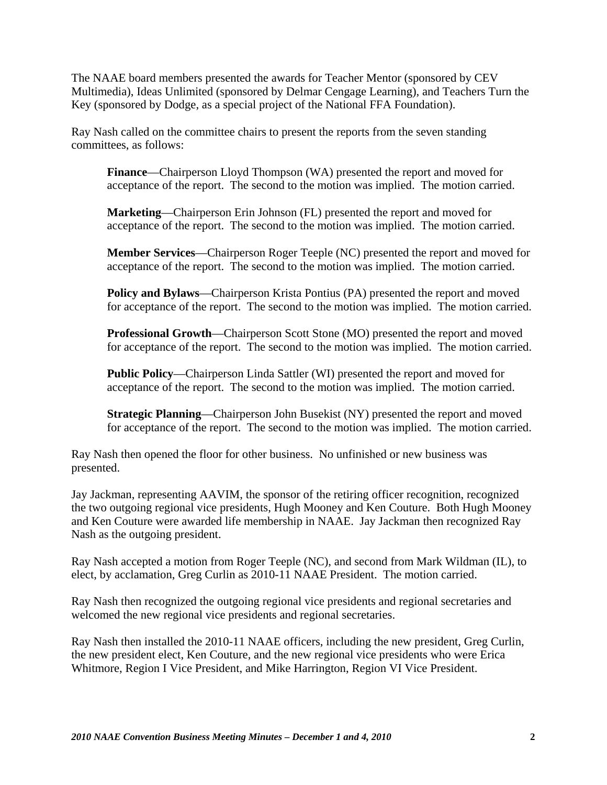The NAAE board members presented the awards for Teacher Mentor (sponsored by CEV Multimedia), Ideas Unlimited (sponsored by Delmar Cengage Learning), and Teachers Turn the Key (sponsored by Dodge, as a special project of the National FFA Foundation).

Ray Nash called on the committee chairs to present the reports from the seven standing committees, as follows:

**Finance**—Chairperson Lloyd Thompson (WA) presented the report and moved for acceptance of the report. The second to the motion was implied. The motion carried.

**Marketing**—Chairperson Erin Johnson (FL) presented the report and moved for acceptance of the report. The second to the motion was implied. The motion carried.

**Member Services**—Chairperson Roger Teeple (NC) presented the report and moved for acceptance of the report. The second to the motion was implied. The motion carried.

**Policy and Bylaws**—Chairperson Krista Pontius (PA) presented the report and moved for acceptance of the report. The second to the motion was implied. The motion carried.

**Professional Growth**—Chairperson Scott Stone (MO) presented the report and moved for acceptance of the report. The second to the motion was implied. The motion carried.

**Public Policy**—Chairperson Linda Sattler (WI) presented the report and moved for acceptance of the report. The second to the motion was implied. The motion carried.

**Strategic Planning**—Chairperson John Busekist (NY) presented the report and moved for acceptance of the report. The second to the motion was implied. The motion carried.

Ray Nash then opened the floor for other business. No unfinished or new business was presented.

Jay Jackman, representing AAVIM, the sponsor of the retiring officer recognition, recognized the two outgoing regional vice presidents, Hugh Mooney and Ken Couture. Both Hugh Mooney and Ken Couture were awarded life membership in NAAE. Jay Jackman then recognized Ray Nash as the outgoing president.

Ray Nash accepted a motion from Roger Teeple (NC), and second from Mark Wildman (IL), to elect, by acclamation, Greg Curlin as 2010-11 NAAE President. The motion carried.

Ray Nash then recognized the outgoing regional vice presidents and regional secretaries and welcomed the new regional vice presidents and regional secretaries.

Ray Nash then installed the 2010-11 NAAE officers, including the new president, Greg Curlin, the new president elect, Ken Couture, and the new regional vice presidents who were Erica Whitmore, Region I Vice President, and Mike Harrington, Region VI Vice President.